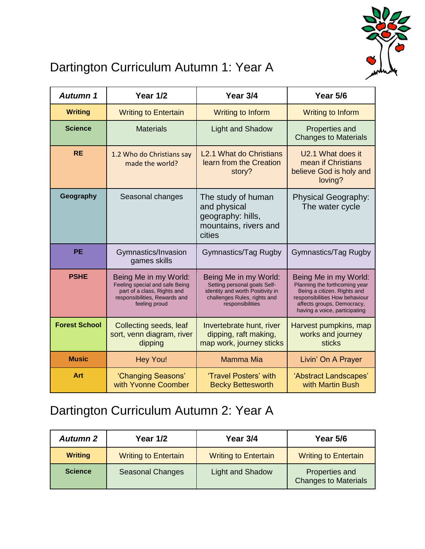

# Dartington Curriculum Autumn 1: Year A

| Autumn 1             | <b>Year 1/2</b>                                                                                                                          | Year 3/4                                                                                                                                      | Year 5/6                                                                                                                                                                               |
|----------------------|------------------------------------------------------------------------------------------------------------------------------------------|-----------------------------------------------------------------------------------------------------------------------------------------------|----------------------------------------------------------------------------------------------------------------------------------------------------------------------------------------|
| <b>Writing</b>       | <b>Writing to Entertain</b>                                                                                                              | <b>Writing to Inform</b>                                                                                                                      | <b>Writing to Inform</b>                                                                                                                                                               |
| <b>Science</b>       | <b>Materials</b>                                                                                                                         | <b>Light and Shadow</b>                                                                                                                       | Properties and<br><b>Changes to Materials</b>                                                                                                                                          |
| <b>RE</b>            | 1.2 Who do Christians say<br>made the world?                                                                                             | L <sub>2.1</sub> What do Christians<br>learn from the Creation<br>story?                                                                      | U2.1 What does it<br>mean if Christians<br>believe God is holy and<br>loving?                                                                                                          |
| Geography            | Seasonal changes                                                                                                                         | The study of human<br>and physical<br>geography: hills,<br>mountains, rivers and<br>cities                                                    | <b>Physical Geography:</b><br>The water cycle                                                                                                                                          |
| <b>PE</b>            | Gymnastics/Invasion<br>games skills                                                                                                      | Gymnastics/Tag Rugby                                                                                                                          | Gymnastics/Tag Rugby                                                                                                                                                                   |
| <b>PSHE</b>          | Being Me in my World:<br>Feeling special and safe Being<br>part of a class, Rights and<br>responsibilities, Rewards and<br>feeling proud | Being Me in my World:<br>Setting personal goals Self-<br>identity and worth Positivity in<br>challenges Rules, rights and<br>responsibilities | Being Me in my World:<br>Planning the forthcoming year<br>Being a citizen. Rights and<br>responsibilities How behaviour<br>affects groups, Democracy,<br>having a voice, participating |
| <b>Forest School</b> | Collecting seeds, leaf<br>sort, venn diagram, river<br>dipping                                                                           | Invertebrate hunt, river<br>dipping, raft making,<br>map work, journey sticks                                                                 | Harvest pumpkins, map<br>works and journey<br><b>sticks</b>                                                                                                                            |
| <b>Music</b>         | <b>Hey You!</b>                                                                                                                          | <b>Mamma Mia</b>                                                                                                                              | Livin' On A Prayer                                                                                                                                                                     |
| Art                  | 'Changing Seasons'<br>with Yvonne Coomber                                                                                                | 'Travel Posters' with<br><b>Becky Bettesworth</b>                                                                                             | 'Abstract Landscapes'<br>with Martin Bush                                                                                                                                              |

### Dartington Curriculum Autumn 2: Year A

| <b>Autumn 2</b> | <b>Year 1/2</b>             | Year 3/4                    | Year 5/6                                      |
|-----------------|-----------------------------|-----------------------------|-----------------------------------------------|
| <b>Writing</b>  | <b>Writing to Entertain</b> | <b>Writing to Entertain</b> | <b>Writing to Entertain</b>                   |
| <b>Science</b>  | <b>Seasonal Changes</b>     | <b>Light and Shadow</b>     | Properties and<br><b>Changes to Materials</b> |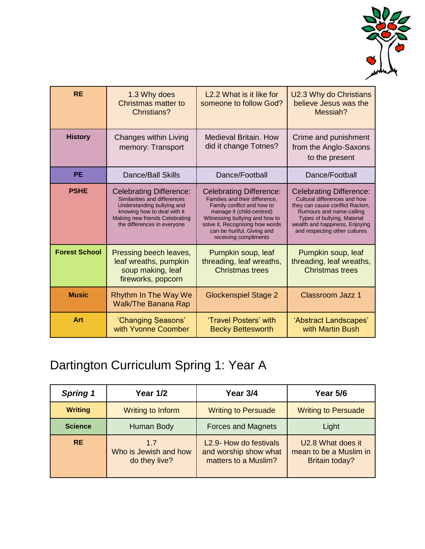

| <b>RE</b>            | 1.3 Why does<br><b>Christmas matter to</b><br>Christians?                                                                                                                                    | L2.2 What is it like for<br>someone to follow God?                                                                                                                                                                                                      | U2.3 Why do Christians<br>believe Jesus was the<br>Messiah?                                                                                                                                                                     |
|----------------------|----------------------------------------------------------------------------------------------------------------------------------------------------------------------------------------------|---------------------------------------------------------------------------------------------------------------------------------------------------------------------------------------------------------------------------------------------------------|---------------------------------------------------------------------------------------------------------------------------------------------------------------------------------------------------------------------------------|
| <b>History</b>       | Changes within Living<br>memory: Transport                                                                                                                                                   | <b>Medieval Britain, How</b><br>did it change Totnes?                                                                                                                                                                                                   | Crime and punishment<br>from the Anglo-Saxons<br>to the present                                                                                                                                                                 |
| <b>PE</b>            | <b>Dance/Ball Skills</b>                                                                                                                                                                     | Dance/Football                                                                                                                                                                                                                                          | Dance/Football                                                                                                                                                                                                                  |
| <b>PSHE</b>          | <b>Celebrating Difference:</b><br>Similarities and differences<br>Understanding bullying and<br>knowing how to deal with it<br>Making new friends Celebrating<br>the differences in everyone | <b>Celebrating Difference:</b><br>Families and their difference,<br>Family conflict and how to<br>manage it (child-centred)<br>Witnessing bullying and how to<br>solve it, Recognising how words<br>can be hurtful, Giving and<br>receiving compliments | <b>Celebrating Difference:</b><br>Cultural differences and how<br>they can cause conflict Racism,<br>Rumours and name-calling<br>Types of bullying, Material<br>wealth and happiness, Enjoying<br>and respecting other cultures |
| <b>Forest School</b> | Pressing beech leaves,<br>leaf wreaths, pumpkin<br>soup making, leaf<br>fireworks, popcorn                                                                                                   | Pumpkin soup, leaf<br>threading, leaf wreaths,<br><b>Christmas trees</b>                                                                                                                                                                                | Pumpkin soup, leaf<br>threading, leaf wreaths,<br><b>Christmas trees</b>                                                                                                                                                        |
| <b>Music</b>         | <b>Rhythm In The Way We</b><br><b>Walk/The Banana Rap</b>                                                                                                                                    | <b>Glockenspiel Stage 2</b>                                                                                                                                                                                                                             | <b>Classroom Jazz 1</b>                                                                                                                                                                                                         |
| Art                  | 'Changing Seasons'<br>with Yvonne Coomber                                                                                                                                                    | 'Travel Posters' with<br><b>Becky Bettesworth</b>                                                                                                                                                                                                       | 'Abstract Landscapes'<br>with Martin Bush                                                                                                                                                                                       |

# Dartington Curriculum Spring 1: Year A

| <b>Spring 1</b> | <b>Year 1/2</b>                               | Year 3/4                                                                | Year 5/6                                                             |
|-----------------|-----------------------------------------------|-------------------------------------------------------------------------|----------------------------------------------------------------------|
| <b>Writing</b>  | Writing to Inform                             | <b>Writing to Persuade</b>                                              | <b>Writing to Persuade</b>                                           |
| <b>Science</b>  | Human Body                                    | <b>Forces and Magnets</b>                                               | Light                                                                |
| <b>RE</b>       | 1.7<br>Who is Jewish and how<br>do they live? | L2.9- How do festivals<br>and worship show what<br>matters to a Muslim? | U2.8 What does it<br>mean to be a Muslim in<br><b>Britain today?</b> |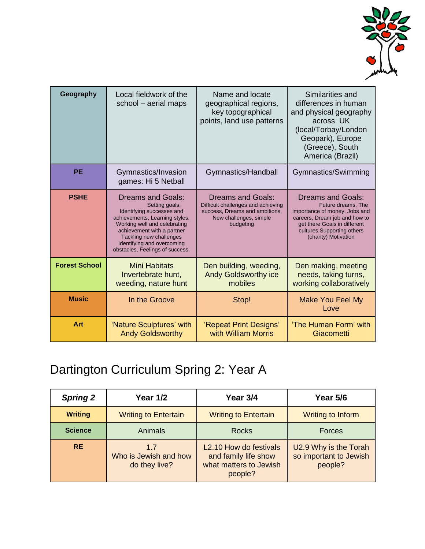

| Geography            | Local fieldwork of the<br>school - aerial maps                                                                                                                                                                                                                      | Name and locate<br>geographical regions,<br>key topographical<br>points, land use patterns                                       | Similarities and<br>differences in human<br>and physical geography<br>across UK<br>(local/Torbay/London<br>Geopark), Europe<br>(Greece), South<br>America (Brazil)                                     |
|----------------------|---------------------------------------------------------------------------------------------------------------------------------------------------------------------------------------------------------------------------------------------------------------------|----------------------------------------------------------------------------------------------------------------------------------|--------------------------------------------------------------------------------------------------------------------------------------------------------------------------------------------------------|
| <b>PE</b>            | Gymnastics/Invasion<br>games: Hi 5 Netball                                                                                                                                                                                                                          | Gymnastics/Handball                                                                                                              | Gymnastics/Swimming                                                                                                                                                                                    |
| <b>PSHE</b>          | <b>Dreams and Goals:</b><br>Setting goals,<br>Identifying successes and<br>achievements, Learning styles,<br>Working well and celebrating<br>achievement with a partner<br>Tackling new challenges<br>Identifying and overcoming<br>obstacles, Feelings of success. | Dreams and Goals:<br>Difficult challenges and achieving<br>success, Dreams and ambitions,<br>New challenges, simple<br>budgeting | <b>Dreams and Goals:</b><br>Future dreams, The<br>importance of money, Jobs and<br>careers, Dream job and how to<br>get there Goals in different<br>cultures Supporting others<br>(charity) Motivation |
| <b>Forest School</b> | <b>Mini Habitats</b><br>Invertebrate hunt,<br>weeding, nature hunt                                                                                                                                                                                                  | Den building, weeding,<br><b>Andy Goldsworthy ice</b><br>mobiles                                                                 | Den making, meeting<br>needs, taking turns,<br>working collaboratively                                                                                                                                 |
| <b>Music</b>         | In the Groove                                                                                                                                                                                                                                                       | Stop!                                                                                                                            | <b>Make You Feel My</b><br>Love                                                                                                                                                                        |
| Art                  | 'Nature Sculptures' with<br><b>Andy Goldsworthy</b>                                                                                                                                                                                                                 | 'Repeat Print Designs'<br>with William Morris                                                                                    | 'The Human Form' with<br>Giacometti                                                                                                                                                                    |

# Dartington Curriculum Spring 2: Year A

| <b>Spring 2</b> | <b>Year 1/2</b>                               | Year 3/4                                                                            | Year 5/6                                                   |
|-----------------|-----------------------------------------------|-------------------------------------------------------------------------------------|------------------------------------------------------------|
| <b>Writing</b>  | <b>Writing to Entertain</b>                   | <b>Writing to Entertain</b>                                                         | Writing to Inform                                          |
| <b>Science</b>  | Animals                                       | <b>Rocks</b>                                                                        | <b>Forces</b>                                              |
| <b>RE</b>       | 1.7<br>Who is Jewish and how<br>do they live? | L2.10 How do festivals<br>and family life show<br>what matters to Jewish<br>people? | U2.9 Why is the Torah<br>so important to Jewish<br>people? |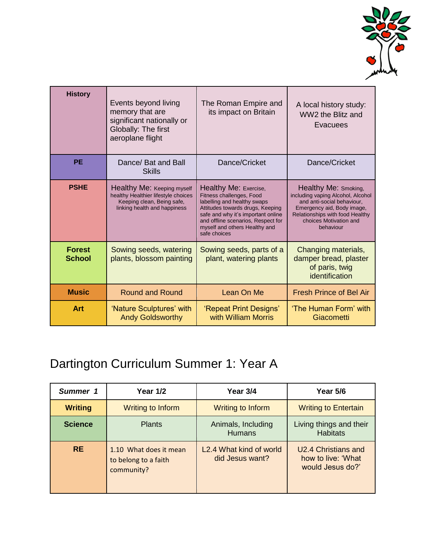

| <b>History</b>                 | Events beyond living<br>memory that are<br>significant nationally or<br>Globally: The first<br>aeroplane flight                 | The Roman Empire and<br>its impact on Britain                                                                                                                                                                                                     | A local history study:<br>WW2 the Blitz and<br>Evacuees                                                                                                                                         |
|--------------------------------|---------------------------------------------------------------------------------------------------------------------------------|---------------------------------------------------------------------------------------------------------------------------------------------------------------------------------------------------------------------------------------------------|-------------------------------------------------------------------------------------------------------------------------------------------------------------------------------------------------|
| <b>PE</b>                      | Dance/ Bat and Ball<br>Skills                                                                                                   | Dance/Cricket                                                                                                                                                                                                                                     | Dance/Cricket                                                                                                                                                                                   |
| <b>PSHE</b>                    | Healthy Me: Keeping myself<br>healthy Healthier lifestyle choices<br>Keeping clean, Being safe,<br>linking health and happiness | Healthy Me: Exercise,<br>Fitness challenges, Food<br>labelling and healthy swaps<br>Attitudes towards drugs, Keeping<br>safe and why it's important online<br>and offline scenarios, Respect for<br>myself and others Healthy and<br>safe choices | Healthy Me: Smoking,<br>including vaping Alcohol, Alcohol<br>and anti-social behaviour,<br>Emergency aid, Body image,<br>Relationships with food Healthy<br>choices Motivation and<br>behaviour |
| <b>Forest</b><br><b>School</b> | Sowing seeds, watering<br>plants, blossom painting                                                                              | Sowing seeds, parts of a<br>plant, watering plants                                                                                                                                                                                                | Changing materials,<br>damper bread, plaster<br>of paris, twig<br>identification                                                                                                                |
| <b>Music</b>                   | <b>Round and Round</b>                                                                                                          | Lean On Me                                                                                                                                                                                                                                        | <b>Fresh Prince of Bel Air</b>                                                                                                                                                                  |
| Art                            | 'Nature Sculptures' with<br><b>Andy Goldsworthy</b>                                                                             | 'Repeat Print Designs'<br>with William Morris                                                                                                                                                                                                     | 'The Human Form' with<br>Giacometti                                                                                                                                                             |

# Dartington Curriculum Summer 1: Year A

| Summer 1       | <b>Year 1/2</b>                                              | Year 3/4                                                | Year 5/6                                                             |
|----------------|--------------------------------------------------------------|---------------------------------------------------------|----------------------------------------------------------------------|
| <b>Writing</b> | Writing to Inform                                            | Writing to Inform                                       | <b>Writing to Entertain</b>                                          |
| <b>Science</b> | <b>Plants</b>                                                | Animals, Including<br><b>Humans</b>                     | Living things and their<br><b>Habitats</b>                           |
| <b>RE</b>      | 1.10 What does it mean<br>to belong to a faith<br>community? | L <sub>2</sub> .4 What kind of world<br>did Jesus want? | <b>U2.4 Christians and</b><br>how to live: 'What<br>would Jesus do?' |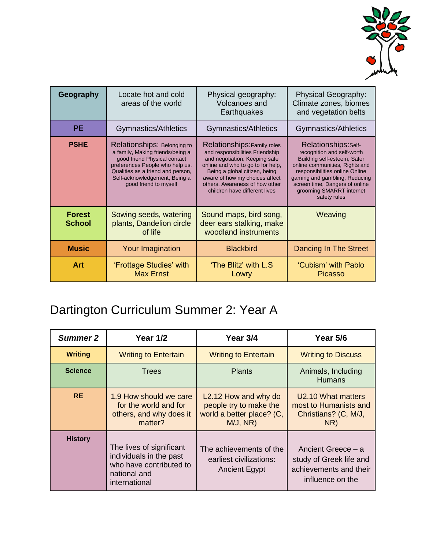

| Geography                      | Locate hot and cold<br>areas of the world                                                                                                                                                                                         | Physical geography:<br>Volcanoes and<br>Earthquakes                                                                                                                                                                                                                        | Physical Geography:<br>Climate zones, biomes<br>and vegetation belts                                                                                                                                                                                                 |
|--------------------------------|-----------------------------------------------------------------------------------------------------------------------------------------------------------------------------------------------------------------------------------|----------------------------------------------------------------------------------------------------------------------------------------------------------------------------------------------------------------------------------------------------------------------------|----------------------------------------------------------------------------------------------------------------------------------------------------------------------------------------------------------------------------------------------------------------------|
| <b>PE</b>                      | Gymnastics/Athletics                                                                                                                                                                                                              | Gymnastics/Athletics                                                                                                                                                                                                                                                       | Gymnastics/Athletics                                                                                                                                                                                                                                                 |
| <b>PSHE</b>                    | Relationships: Belonging to<br>a family, Making friends/being a<br>good friend Physical contact<br>preferences People who help us,<br>Qualities as a friend and person,<br>Self-acknowledgement, Being a<br>good friend to myself | Relationships: Family roles<br>and responsibilities Friendship<br>and negotiation, Keeping safe<br>online and who to go to for help.<br>Being a global citizen, being<br>aware of how my choices affect<br>others, Awareness of how other<br>children have different lives | Relationships: Self-<br>recognition and self-worth<br>Building self-esteem, Safer<br>online communities, Rights and<br>responsibilities online Online<br>gaming and gambling, Reducing<br>screen time, Dangers of online<br>grooming SMARRT internet<br>safety rules |
| <b>Forest</b><br><b>School</b> | Sowing seeds, watering<br>plants, Dandelion circle<br>of life                                                                                                                                                                     | Sound maps, bird song,<br>deer ears stalking, make<br>woodland instruments                                                                                                                                                                                                 | Weaving                                                                                                                                                                                                                                                              |
| <b>Music</b>                   | Your Imagination                                                                                                                                                                                                                  | <b>Blackbird</b>                                                                                                                                                                                                                                                           | Dancing In The Street                                                                                                                                                                                                                                                |
| Art                            | 'Frottage Studies' with<br><b>Max Ernst</b>                                                                                                                                                                                       | 'The Blitz' with L.S<br>Lowry                                                                                                                                                                                                                                              | 'Cubism' with Pablo<br><b>Picasso</b>                                                                                                                                                                                                                                |

# Dartington Curriculum Summer 2: Year A

| <b>Summer 2</b> | <b>Year 1/2</b>                                                                                                 | Year 3/4                                                                                             | Year 5/6                                                                                    |
|-----------------|-----------------------------------------------------------------------------------------------------------------|------------------------------------------------------------------------------------------------------|---------------------------------------------------------------------------------------------|
| <b>Writing</b>  | <b>Writing to Entertain</b>                                                                                     | <b>Writing to Entertain</b>                                                                          | <b>Writing to Discuss</b>                                                                   |
| <b>Science</b>  | <b>Trees</b>                                                                                                    | <b>Plants</b>                                                                                        | Animals, Including<br><b>Humans</b>                                                         |
| <b>RE</b>       | 1.9 How should we care<br>for the world and for<br>others, and why does it<br>matter?                           | L <sub>2</sub> .12 How and why do<br>people try to make the<br>world a better place? (C,<br>M/J, NR) | U2.10 What matters<br>most to Humanists and<br>Christians? (C, M/J,<br>NR)                  |
| <b>History</b>  | The lives of significant<br>individuals in the past<br>who have contributed to<br>national and<br>international | The achievements of the<br>earliest civilizations:<br><b>Ancient Egypt</b>                           | Ancient Greece - a<br>study of Greek life and<br>achievements and their<br>influence on the |